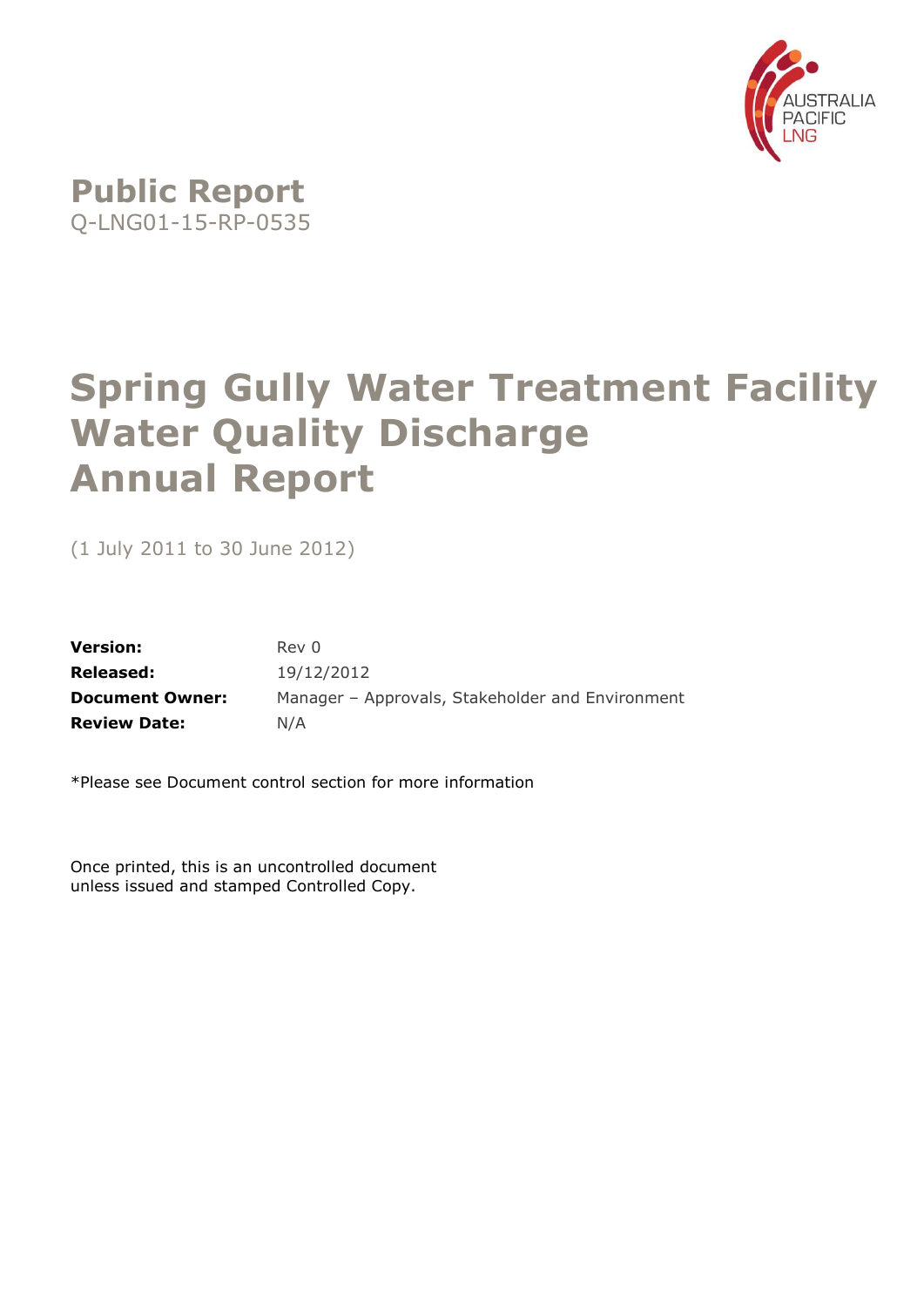

# **Spring Gully Water Treatment Facility Water Quality Discharge Annual Report**

(1 July 2011 to 30 June 2012)

| <b>Version:</b>        | Rev 0                                            |
|------------------------|--------------------------------------------------|
| <b>Released:</b>       | 19/12/2012                                       |
| <b>Document Owner:</b> | Manager - Approvals, Stakeholder and Environment |
| <b>Review Date:</b>    | N/A                                              |

\*Please see Document control section for more information

Once printed, this is an uncontrolled document unless issued and stamped Controlled Copy.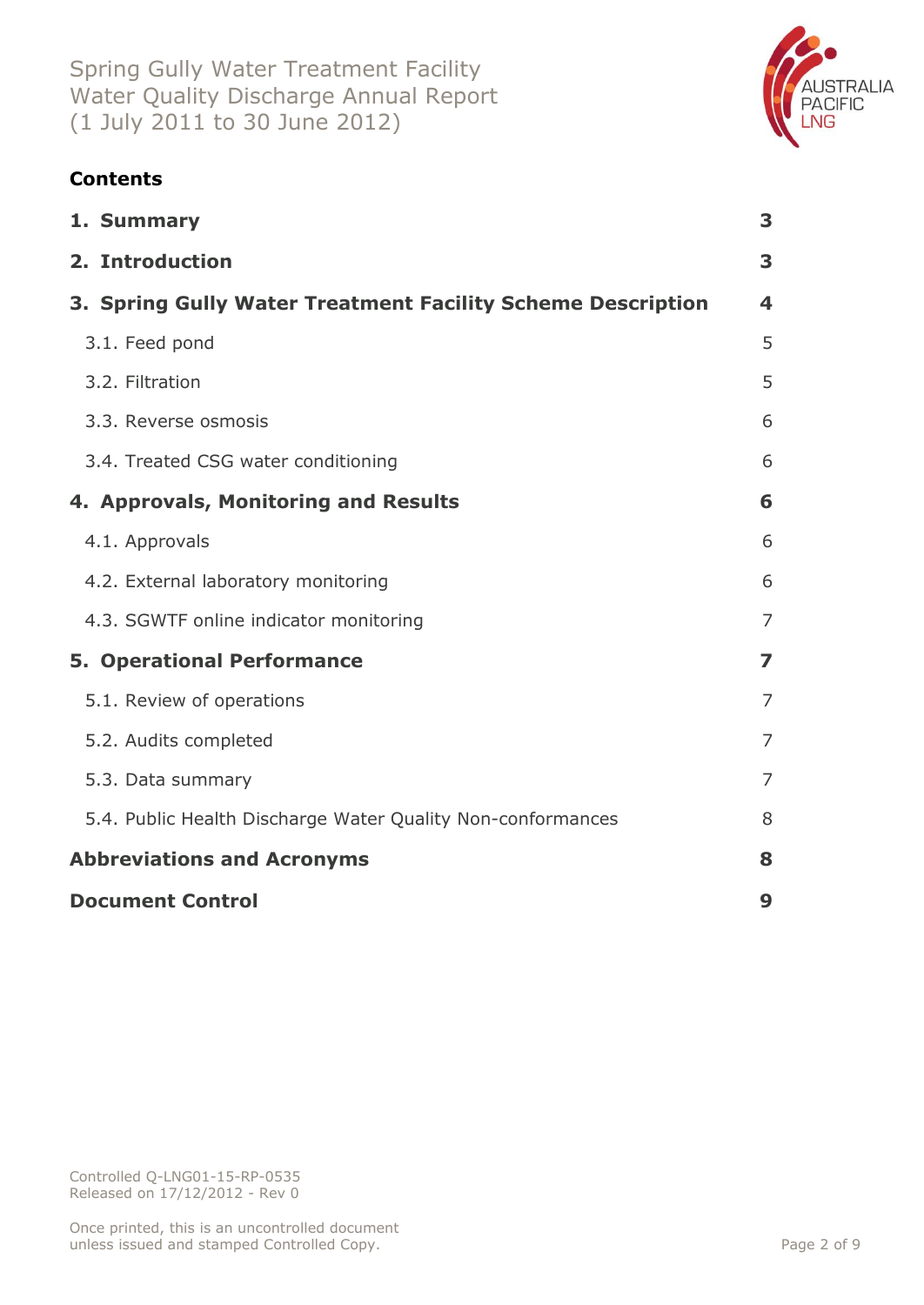

# **Contents**

| 1. Summary                                                  | 3                       |
|-------------------------------------------------------------|-------------------------|
| 2. Introduction                                             | 3                       |
| 3. Spring Gully Water Treatment Facility Scheme Description | 4                       |
| 3.1. Feed pond                                              | 5                       |
| 3.2. Filtration                                             | 5                       |
| 3.3. Reverse osmosis                                        | 6                       |
| 3.4. Treated CSG water conditioning                         | 6                       |
| 4. Approvals, Monitoring and Results                        | 6                       |
| 4.1. Approvals                                              | 6                       |
| 4.2. External laboratory monitoring                         | 6                       |
| 4.3. SGWTF online indicator monitoring                      | $\overline{7}$          |
| <b>5. Operational Performance</b>                           | $\overline{\mathbf{z}}$ |
| 5.1. Review of operations                                   | $\overline{7}$          |
| 5.2. Audits completed                                       | $\overline{7}$          |
| 5.3. Data summary                                           | 7                       |
| 5.4. Public Health Discharge Water Quality Non-conformances | 8                       |
| <b>Abbreviations and Acronyms</b>                           | 8                       |
| <b>Document Control</b>                                     | 9                       |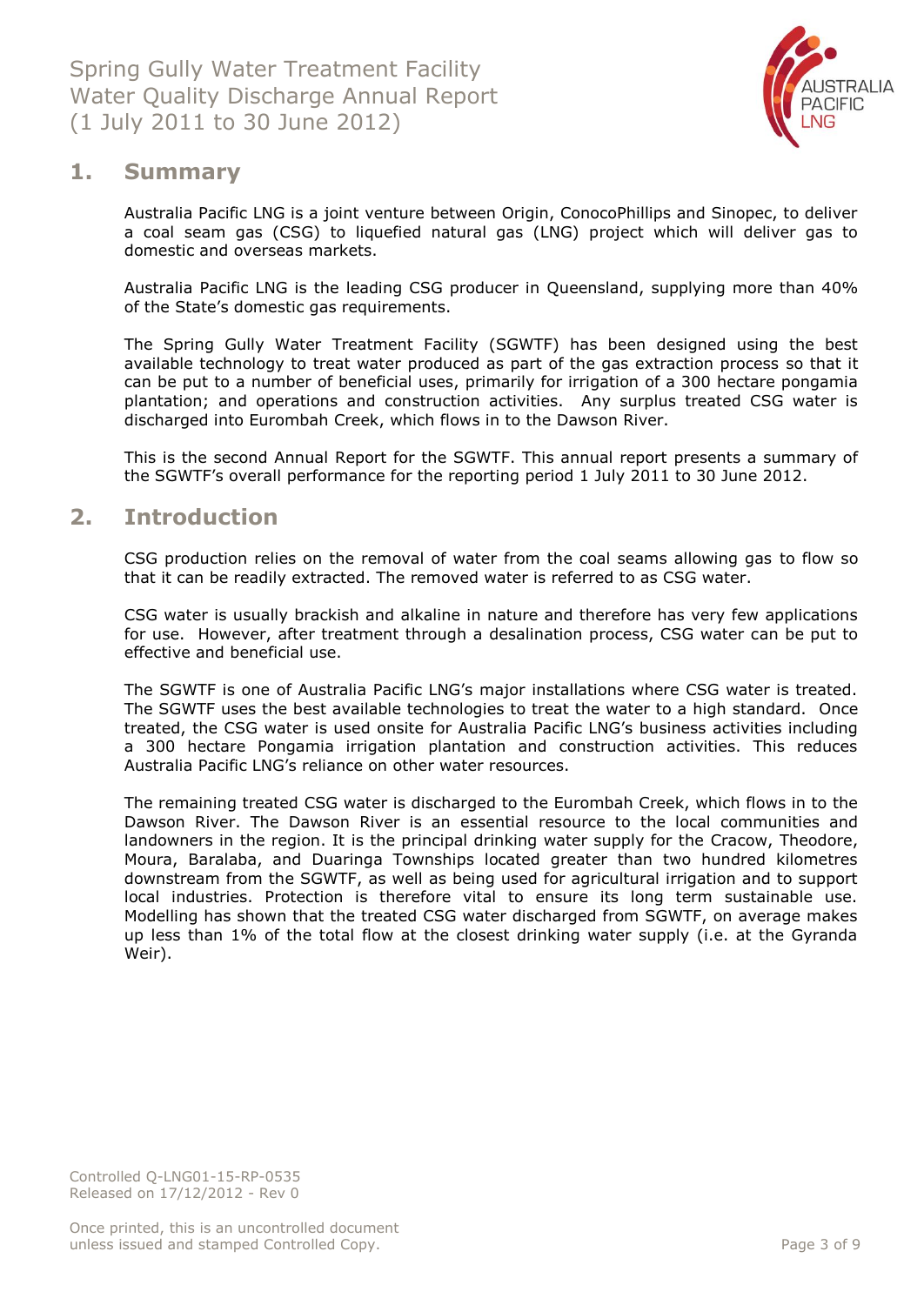

## <span id="page-2-0"></span>**1. Summary**

Australia Pacific LNG is a joint venture between Origin, ConocoPhillips and Sinopec, to deliver a coal seam gas (CSG) to liquefied natural gas (LNG) project which will deliver gas to domestic and overseas markets.

Australia Pacific LNG is the leading CSG producer in Queensland, supplying more than 40% of the State's domestic gas requirements.

The Spring Gully Water Treatment Facility (SGWTF) has been designed using the best available technology to treat water produced as part of the gas extraction process so that it can be put to a number of beneficial uses, primarily for irrigation of a 300 hectare pongamia plantation; and operations and construction activities. Any surplus treated CSG water is discharged into Eurombah Creek, which flows in to the Dawson River.

This is the second Annual Report for the SGWTF. This annual report presents a summary of the SGWTF's overall performance for the reporting period 1 July 2011 to 30 June 2012.

## <span id="page-2-1"></span>**2. Introduction**

CSG production relies on the removal of water from the coal seams allowing gas to flow so that it can be readily extracted. The removed water is referred to as CSG water.

CSG water is usually brackish and alkaline in nature and therefore has very few applications for use. However, after treatment through a desalination process, CSG water can be put to effective and beneficial use.

The SGWTF is one of Australia Pacific LNG's major installations where CSG water is treated. The SGWTF uses the best available technologies to treat the water to a high standard. Once treated, the CSG water is used onsite for Australia Pacific LNG's business activities including a 300 hectare Pongamia irrigation plantation and construction activities. This reduces Australia Pacific LNG's reliance on other water resources.

The remaining treated CSG water is discharged to the Eurombah Creek, which flows in to the Dawson River. The Dawson River is an essential resource to the local communities and landowners in the region. It is the principal drinking water supply for the Cracow, Theodore, Moura, Baralaba, and Duaringa Townships located greater than two hundred kilometres downstream from the SGWTF, as well as being used for agricultural irrigation and to support local industries. Protection is therefore vital to ensure its long term sustainable use. Modelling has shown that the treated CSG water discharged from SGWTF, on average makes up less than 1% of the total flow at the closest drinking water supply (i.e. at the Gyranda Weir).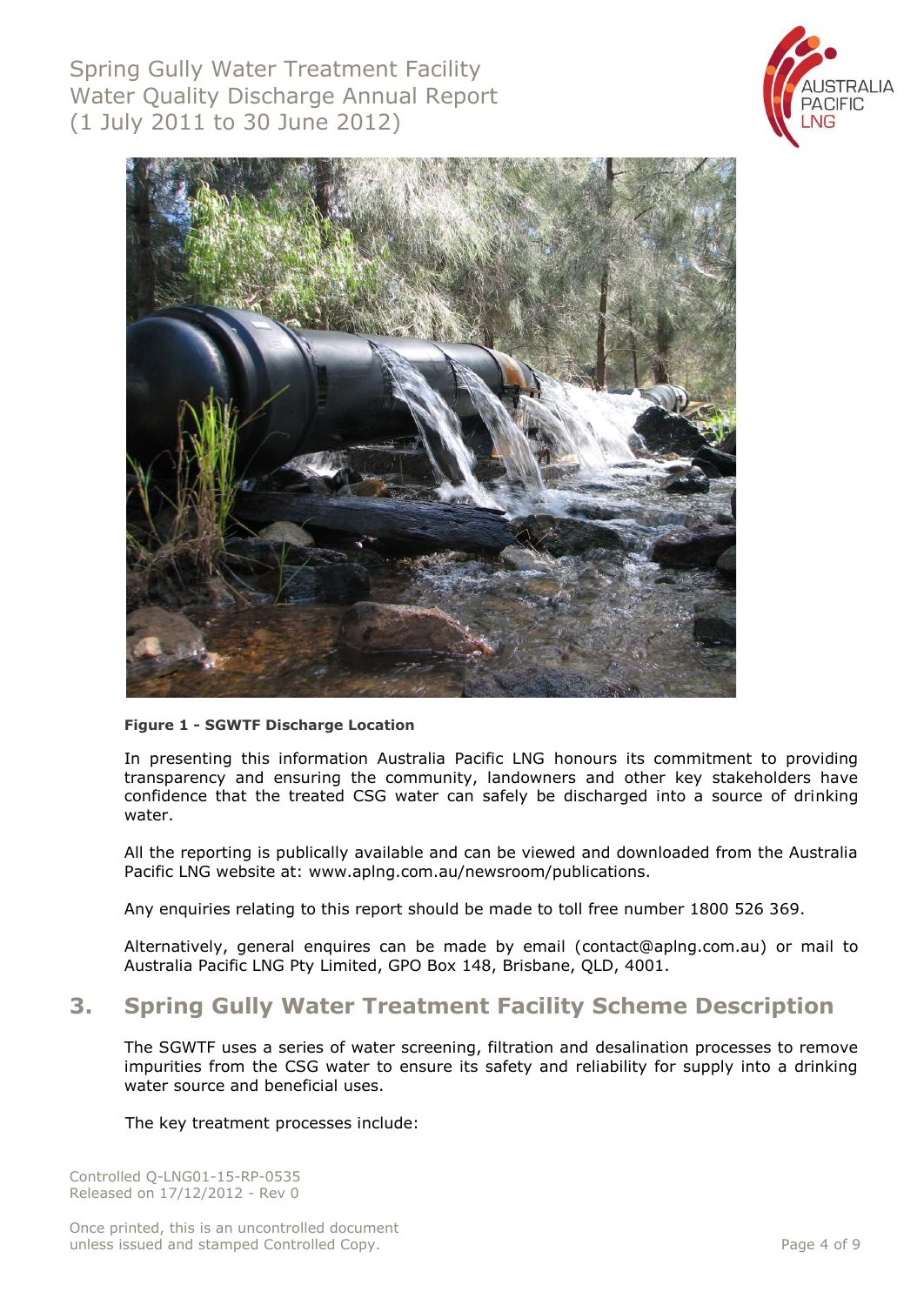Spring Gully Water Treatment Facility Water Quality Discharge Annual Report (1 July 2011 to 30 June 2012)





#### **Figure 1 - SGWTF Discharge Location**

In presenting this information Australia Pacific LNG honours its commitment to providing transparency and ensuring the community, landowners and other key stakeholders have confidence that the treated CSG water can safely be discharged into a source of drinking water.

All the reporting is publically available and can be viewed and downloaded from the Australia Pacific LNG website at: www.aplng.com.au/newsroom/publications.

Any enquiries relating to this report should be made to toll free number 1800 526 369.

Alternatively, general enquires can be made by email [\(contact@aplng.com.au\)](mailto:contact@aplng.com.au) or mail to Australia Pacific LNG Pty Limited, GPO Box 148, Brisbane, QLD, 4001.

## <span id="page-3-0"></span>**3. Spring Gully Water Treatment Facility Scheme Description**

The SGWTF uses a series of water screening, filtration and desalination processes to remove impurities from the CSG water to ensure its safety and reliability for supply into a drinking water source and beneficial uses.

The key treatment processes include: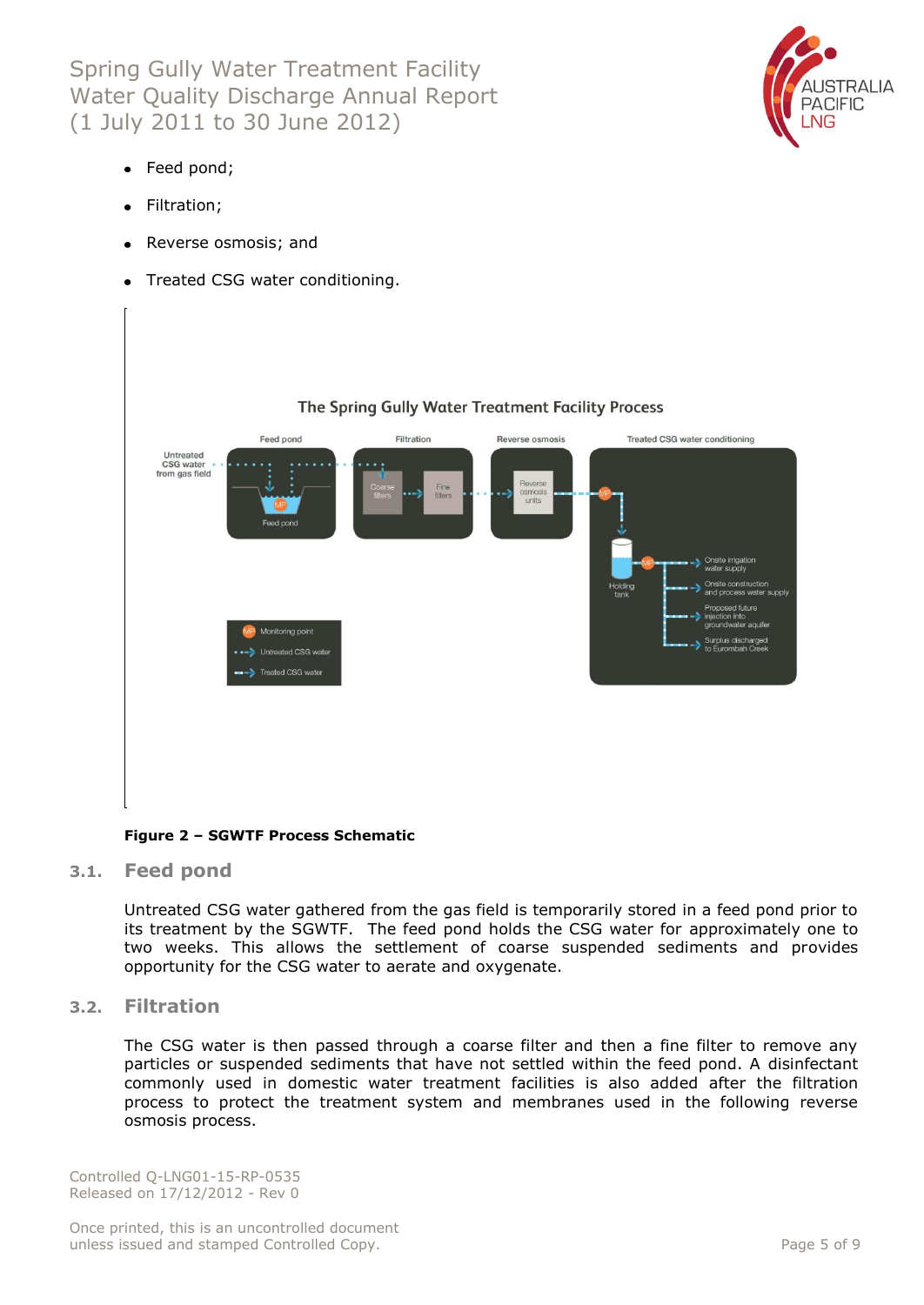Spring Gully Water Treatment Facility Water Quality Discharge Annual Report (1 July 2011 to 30 June 2012)



- Feed pond;
- Filtration;
- Reverse osmosis; and
- Treated CSG water conditioning.



#### **Figure 2 – SGWTF Process Schematic**

<span id="page-4-0"></span>**3.1. Feed pond**

Untreated CSG water gathered from the gas field is temporarily stored in a feed pond prior to its treatment by the SGWTF. The feed pond holds the CSG water for approximately one to two weeks. This allows the settlement of coarse suspended sediments and provides opportunity for the CSG water to aerate and oxygenate.

#### <span id="page-4-1"></span>**3.2. Filtration**

The CSG water is then passed through a coarse filter and then a fine filter to remove any particles or suspended sediments that have not settled within the feed pond. A disinfectant commonly used in domestic water treatment facilities is also added after the filtration process to protect the treatment system and membranes used in the following reverse osmosis process.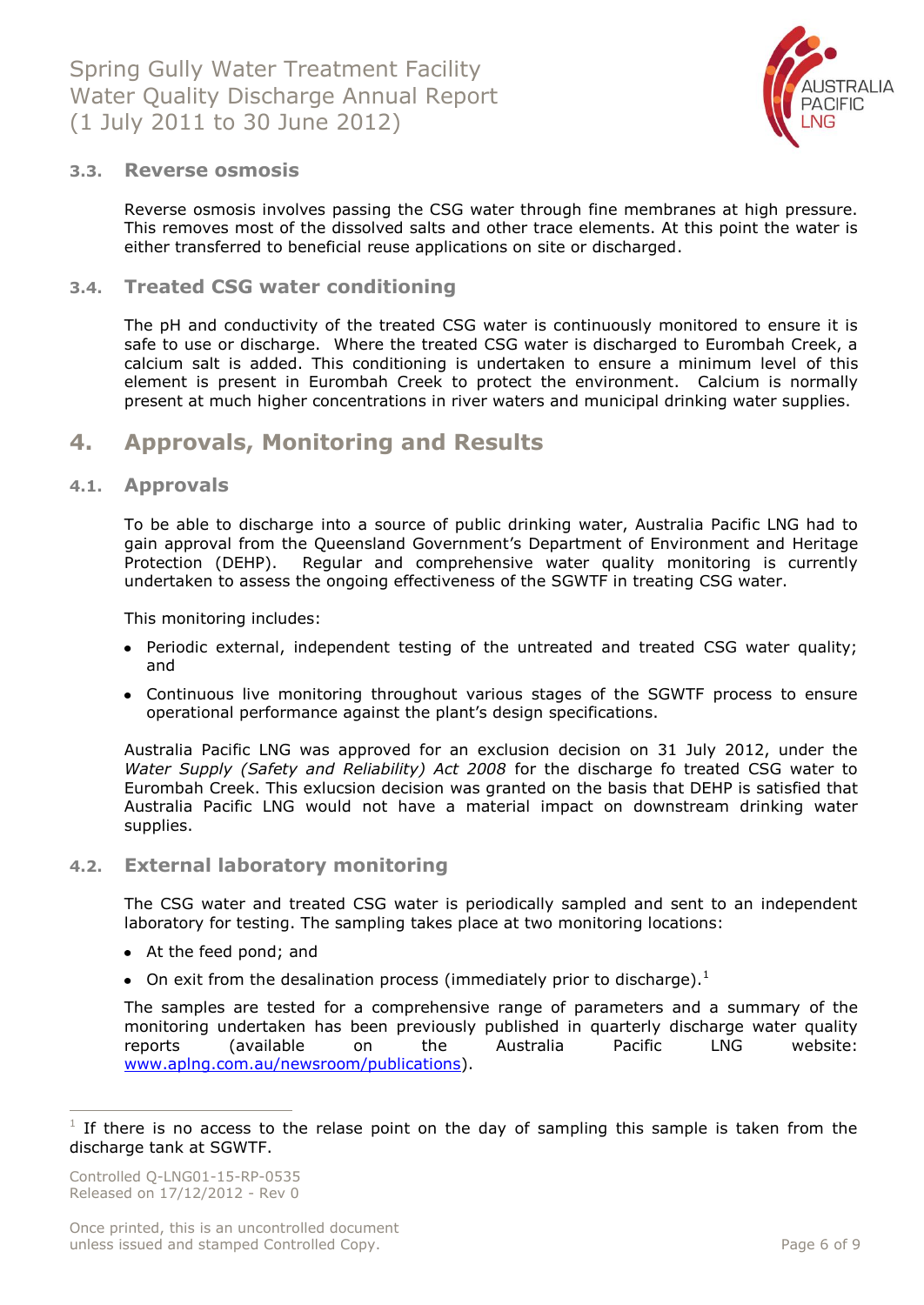

#### <span id="page-5-0"></span>**3.3. Reverse osmosis**

Reverse osmosis involves passing the CSG water through fine membranes at high pressure. This removes most of the dissolved salts and other trace elements. At this point the water is either transferred to beneficial reuse applications on site or discharged.

#### <span id="page-5-1"></span>**3.4. Treated CSG water conditioning**

The pH and conductivity of the treated CSG water is continuously monitored to ensure it is safe to use or discharge. Where the treated CSG water is discharged to Eurombah Creek, a calcium salt is added. This conditioning is undertaken to ensure a minimum level of this element is present in Eurombah Creek to protect the environment. Calcium is normally present at much higher concentrations in river waters and municipal drinking water supplies.

## <span id="page-5-2"></span>**4. Approvals, Monitoring and Results**

#### <span id="page-5-3"></span>**4.1. Approvals**

To be able to discharge into a source of public drinking water, Australia Pacific LNG had to gain approval from the Queensland Government's Department of Environment and Heritage Protection (DEHP). Regular and comprehensive water quality monitoring is currently undertaken to assess the ongoing effectiveness of the SGWTF in treating CSG water.

This monitoring includes:

- Periodic external, independent testing of the untreated and treated CSG water quality; and
- Continuous live monitoring throughout various stages of the SGWTF process to ensure operational performance against the plant's design specifications.

Australia Pacific LNG was approved for an exclusion decision on 31 July 2012, under the *Water Supply (Safety and Reliability) Act 2008* for the discharge fo treated CSG water to Eurombah Creek. This exlucsion decision was granted on the basis that DEHP is satisfied that Australia Pacific LNG would not have a material impact on downstream drinking water supplies.

#### <span id="page-5-4"></span>**4.2. External laboratory monitoring**

The CSG water and treated CSG water is periodically sampled and sent to an independent laboratory for testing. The sampling takes place at two monitoring locations:

- At the feed pond; and
- On exit from the desalination process (immediately prior to discharge). $<sup>1</sup>$ </sup>

The samples are tested for a comprehensive range of parameters and a summary of the monitoring undertaken has been previously published in quarterly discharge water quality reports (available on the Australia Pacific LNG website: [www.aplng.com.au/newsroom/publications\)](http://www.aplng.com.au/newsroom/publications).

 $\overline{a}$ 

<sup>1</sup> If there is no access to the relase point on the day of sampling this sample is taken from the discharge tank at SGWTF.

Controlled Q-LNG01-15-RP-0535 Released on 17/12/2012 - Rev 0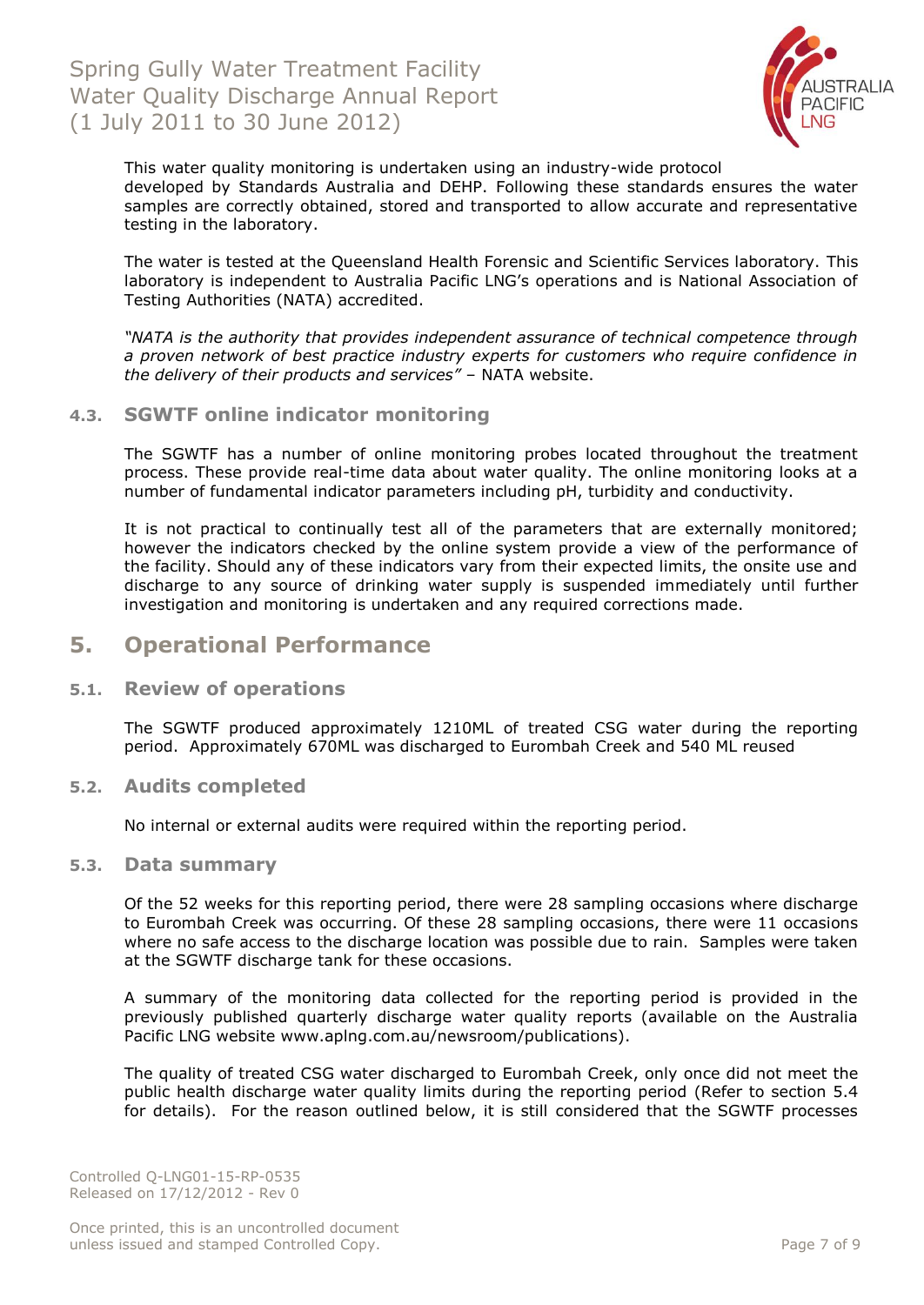

This water quality monitoring is undertaken using an industry-wide protocol developed by Standards Australia and DEHP. Following these standards ensures the water samples are correctly obtained, stored and transported to allow accurate and representative testing in the laboratory.

The water is tested at the Queensland Health Forensic and Scientific Services laboratory. This laboratory is independent to Australia Pacific LNG's operations and is National Association of Testing Authorities (NATA) accredited.

*"NATA is the authority that provides independent assurance of technical competence through a proven network of best practice industry experts for customers who require confidence in the delivery of their products and services"* – NATA website.

#### <span id="page-6-0"></span>**4.3. SGWTF online indicator monitoring**

The SGWTF has a number of online monitoring probes located throughout the treatment process. These provide real-time data about water quality. The online monitoring looks at a number of fundamental indicator parameters including pH, turbidity and conductivity.

It is not practical to continually test all of the parameters that are externally monitored; however the indicators checked by the online system provide a view of the performance of the facility. Should any of these indicators vary from their expected limits, the onsite use and discharge to any source of drinking water supply is suspended immediately until further investigation and monitoring is undertaken and any required corrections made.

## <span id="page-6-1"></span>**5. Operational Performance**

#### <span id="page-6-2"></span>**5.1. Review of operations**

The SGWTF produced approximately 1210ML of treated CSG water during the reporting period. Approximately 670ML was discharged to Eurombah Creek and 540 ML reused

#### <span id="page-6-3"></span>**5.2. Audits completed**

No internal or external audits were required within the reporting period.

#### <span id="page-6-4"></span>**5.3. Data summary**

Of the 52 weeks for this reporting period, there were 28 sampling occasions where discharge to Eurombah Creek was occurring. Of these 28 sampling occasions, there were 11 occasions where no safe access to the discharge location was possible due to rain. Samples were taken at the SGWTF discharge tank for these occasions.

A summary of the monitoring data collected for the reporting period is provided in the previously published quarterly discharge water quality reports (available on the Australia Pacific LNG website www.aplng.com.au/newsroom/publications).

The quality of treated CSG water discharged to Eurombah Creek, only once did not meet the public health discharge water quality limits during the reporting period (Refer to section 5.4 for details). For the reason outlined below, it is still considered that the SGWTF processes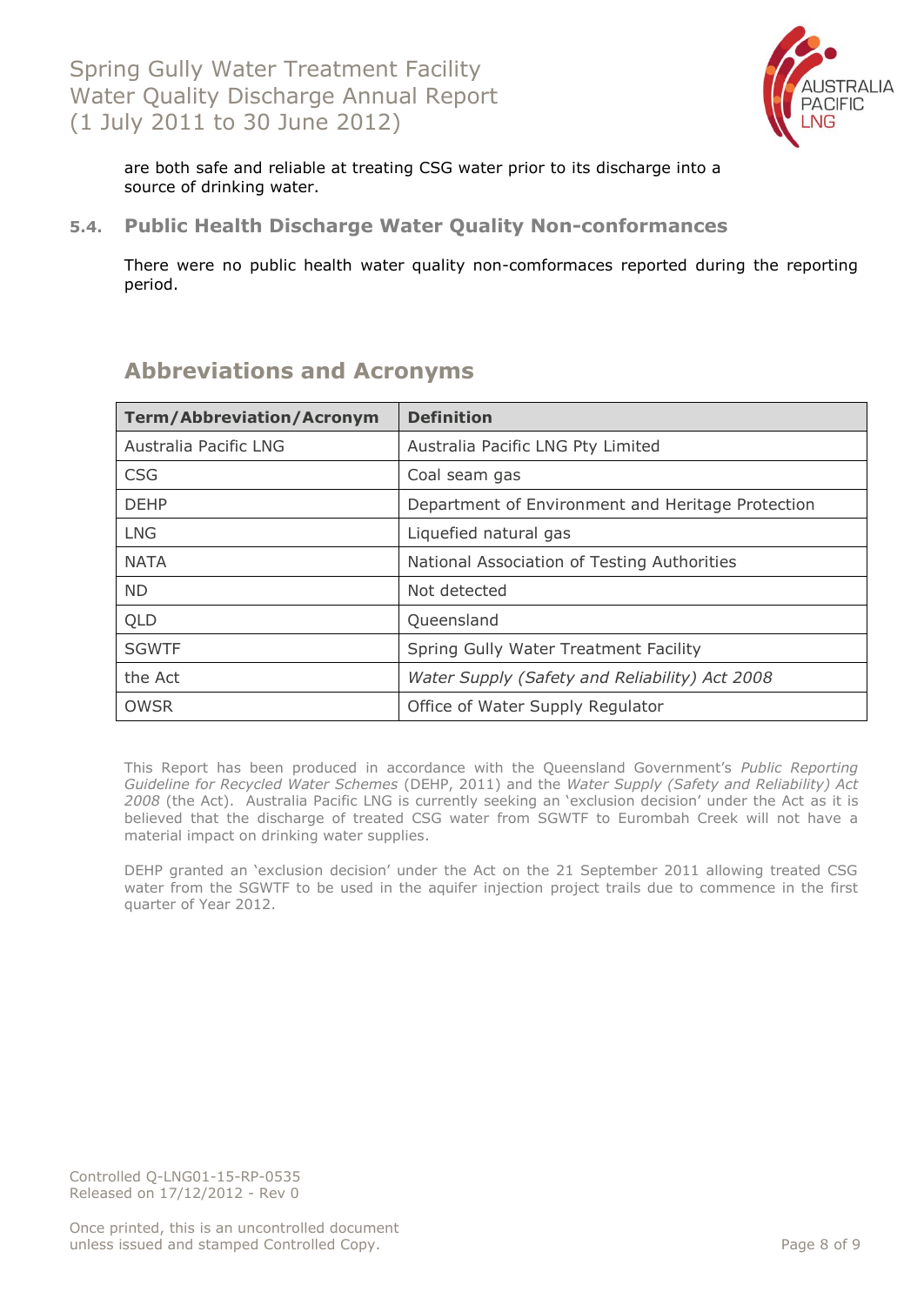

are both safe and reliable at treating CSG water prior to its discharge into a source of drinking water.

## <span id="page-7-1"></span><span id="page-7-0"></span>**5.4. Public Health Discharge Water Quality Non-conformances**

There were no public health water quality non-comformaces reported during the reporting period.

| <b>Term/Abbreviation/Acronym</b> | <b>Definition</b>                                 |  |  |  |  |  |
|----------------------------------|---------------------------------------------------|--|--|--|--|--|
| Australia Pacific LNG            | Australia Pacific LNG Pty Limited                 |  |  |  |  |  |
| <b>CSG</b>                       | Coal seam gas                                     |  |  |  |  |  |
| <b>DEHP</b>                      | Department of Environment and Heritage Protection |  |  |  |  |  |
| <b>LNG</b>                       | Liquefied natural gas                             |  |  |  |  |  |
| <b>NATA</b>                      | National Association of Testing Authorities       |  |  |  |  |  |
| <b>ND</b>                        | Not detected                                      |  |  |  |  |  |
| QLD                              | Queensland                                        |  |  |  |  |  |
| <b>SGWTF</b>                     | Spring Gully Water Treatment Facility             |  |  |  |  |  |
| the Act                          | Water Supply (Safety and Reliability) Act 2008    |  |  |  |  |  |
| <b>OWSR</b>                      | Office of Water Supply Regulator                  |  |  |  |  |  |

## **Abbreviations and Acronyms**

This Report has been produced in accordance with the Queensland Government's *Public Reporting Guideline for Recycled Water Schemes* (DEHP, 2011) and the *Water Supply (Safety and Reliability) Act 2008* (the Act). Australia Pacific LNG is currently seeking an 'exclusion decision' under the Act as it is believed that the discharge of treated CSG water from SGWTF to Eurombah Creek will not have a material impact on drinking water supplies.

DEHP granted an 'exclusion decision' under the Act on the 21 September 2011 allowing treated CSG water from the SGWTF to be used in the aquifer injection project trails due to commence in the first quarter of Year 2012.